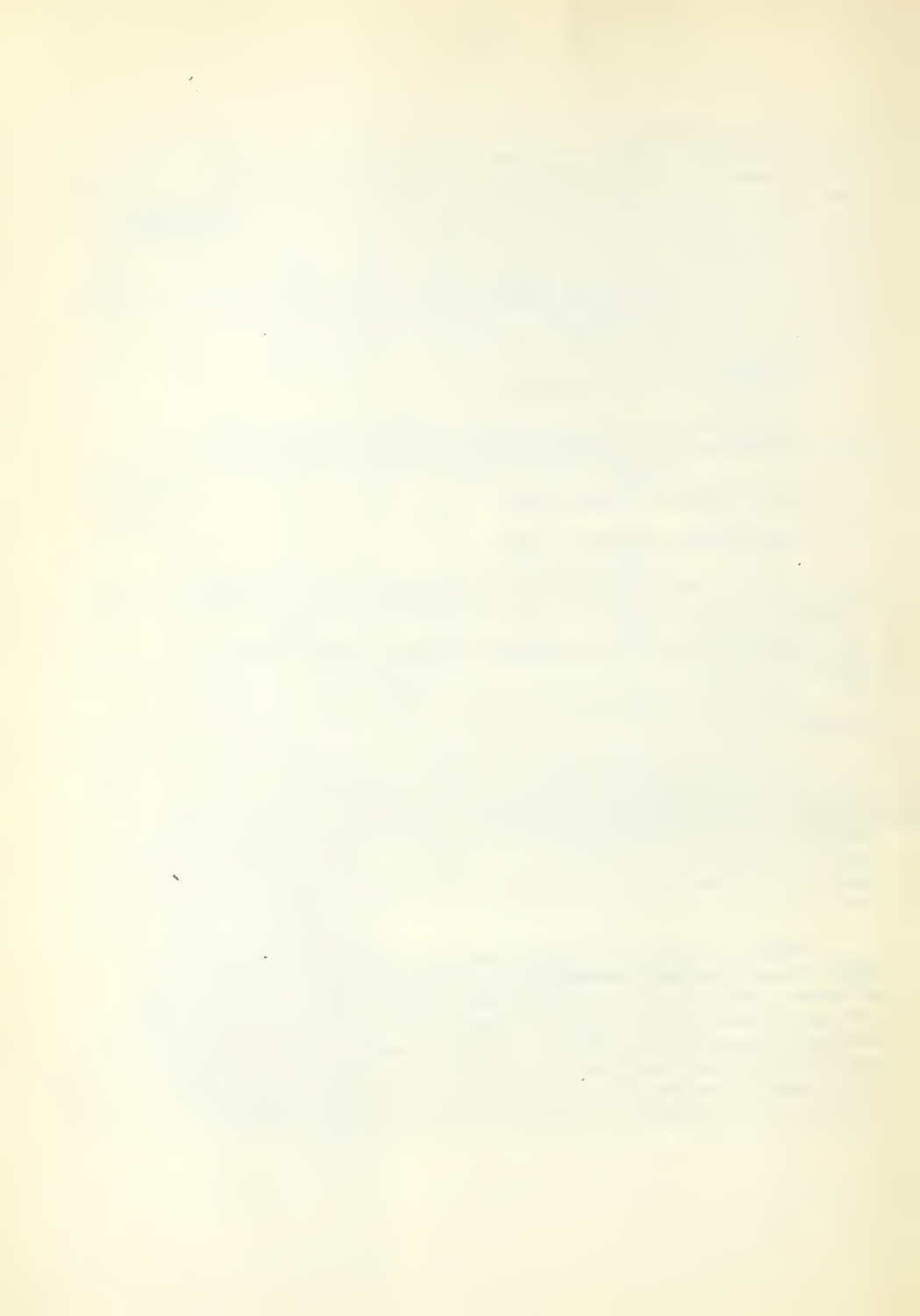$\mathbb{Z}$ Ŷ,  $\mathcal{L}$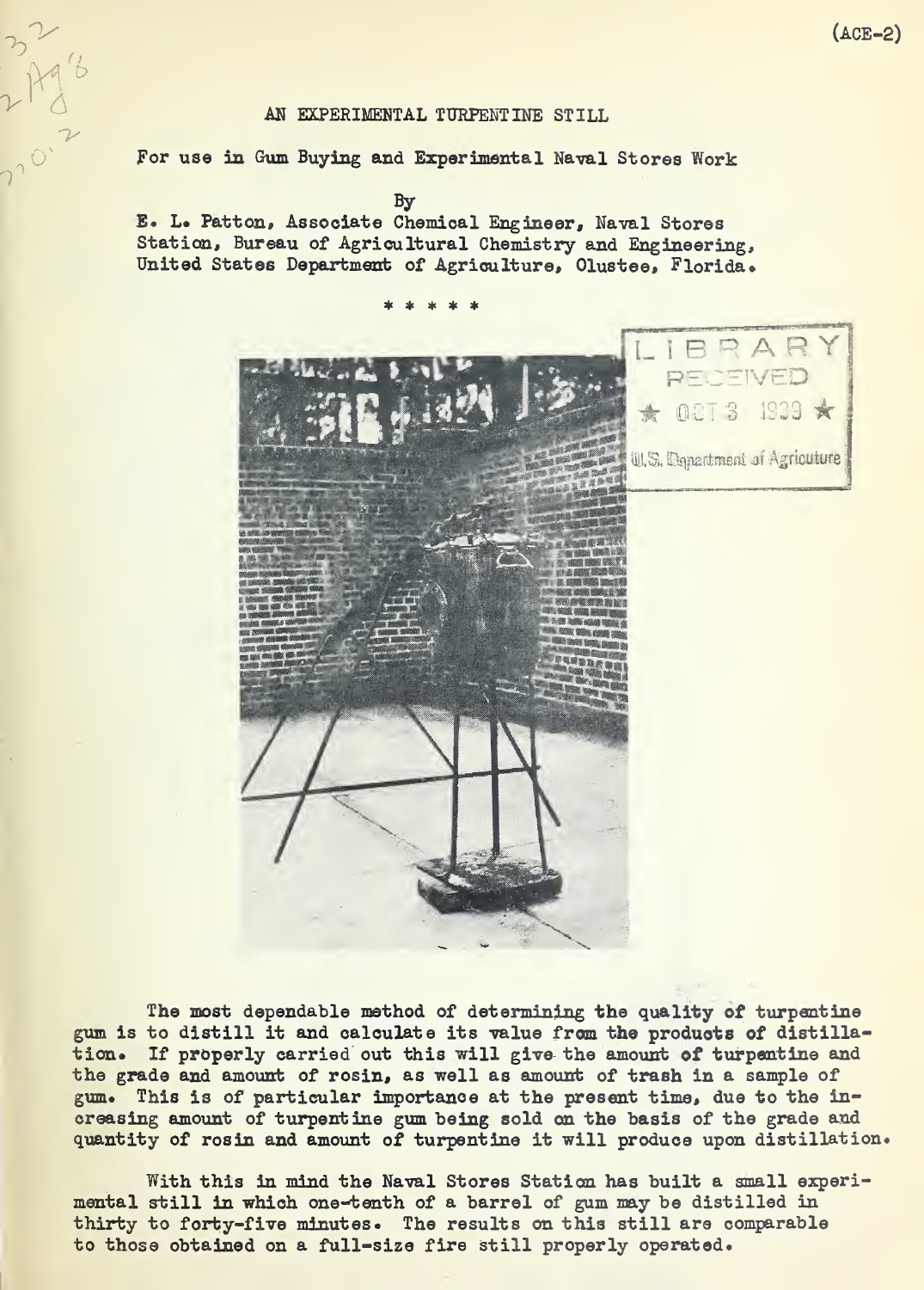## AN EXPERIMENTAL TURPENTINE STILL

For use in Gum Buying and Experimental Naval Stores Work

 $Bv$ 

E. L. Patton, Associate Chemical Engineer, Naval Stores Station, Bureau of Agricultural Chemistry and Engineering, United States Department of Agriculture, Olustee, Florida.



The most dependable method of determining the quality of turpentine gum is to distill it and calculate its value from the products of distillation. If properly carried out this will give the amount of turpentine and the grade and amount of rosin, as well as amount of trash in a sample of gum. This is of particular importance at the present time, due to the increasing amount of turpentine gum being sold on the basis of the grade and quantity of rosin and amount of turpentine it will produce upon distillation.

With this in mind the Naval Stores Station has built a small experimental still in which one-tenth of a barrel of gum may be distilled in thirty to forty-five minutes. The results on this still are comparable to those obtained on a full-size fire still properly operated.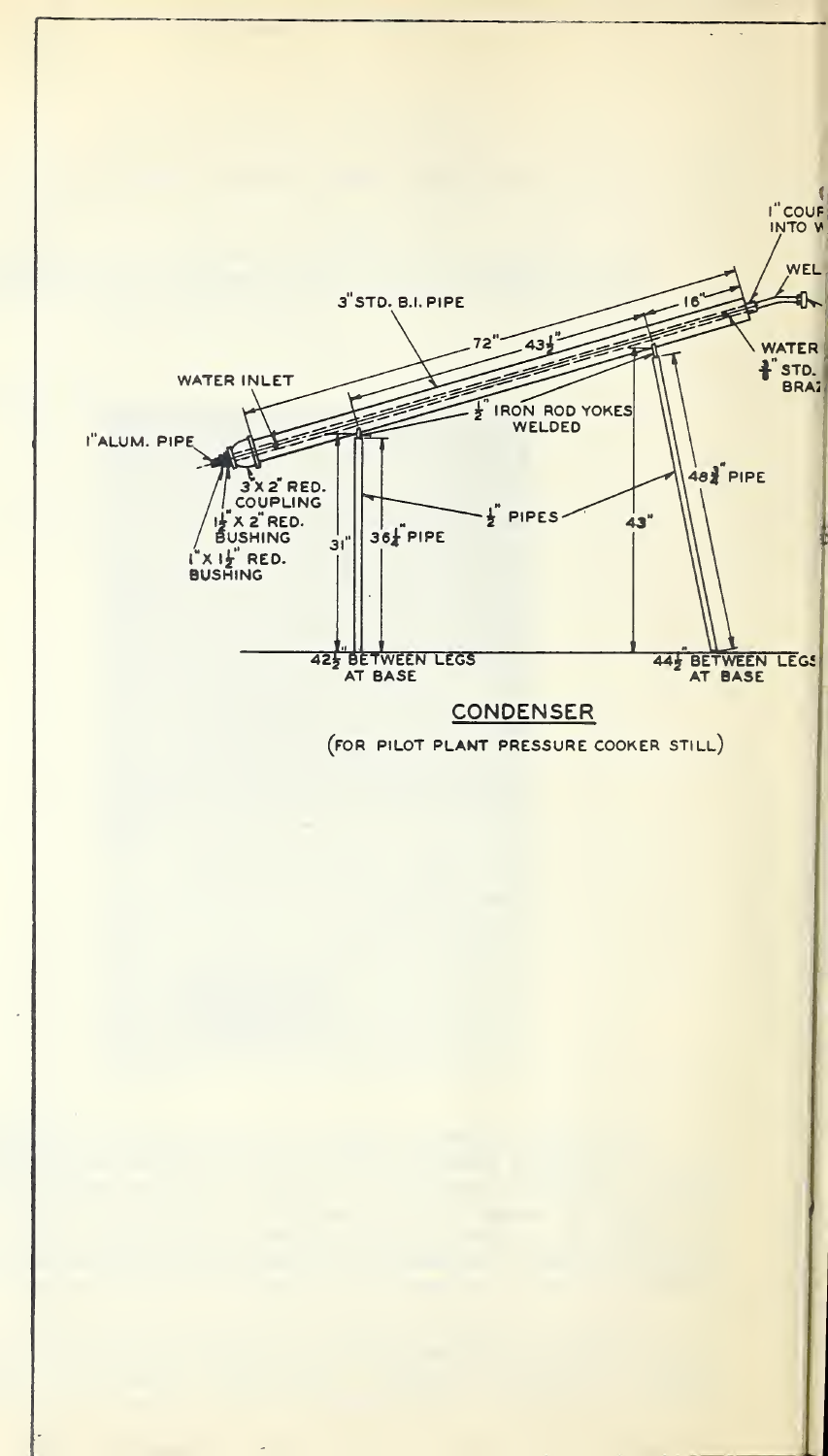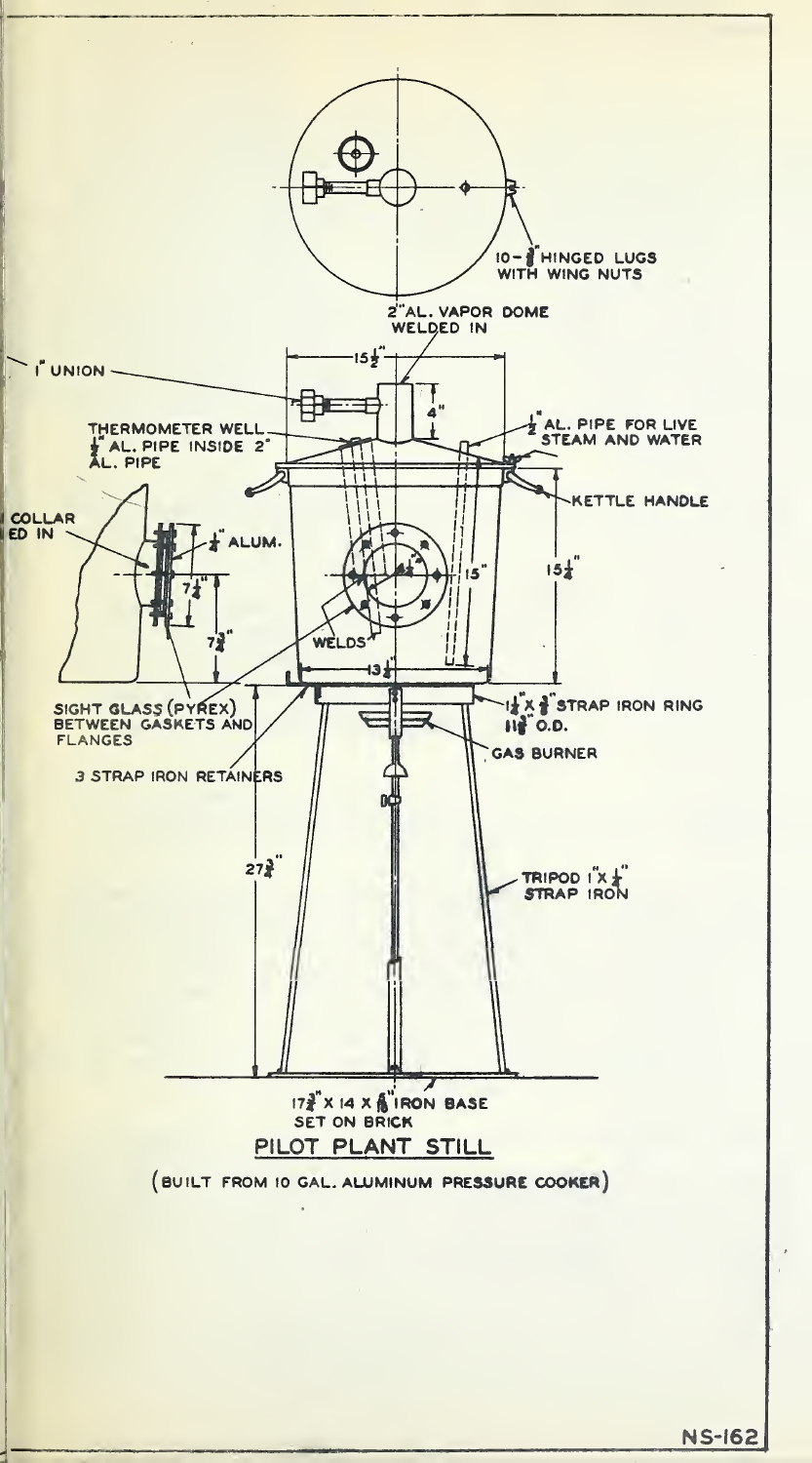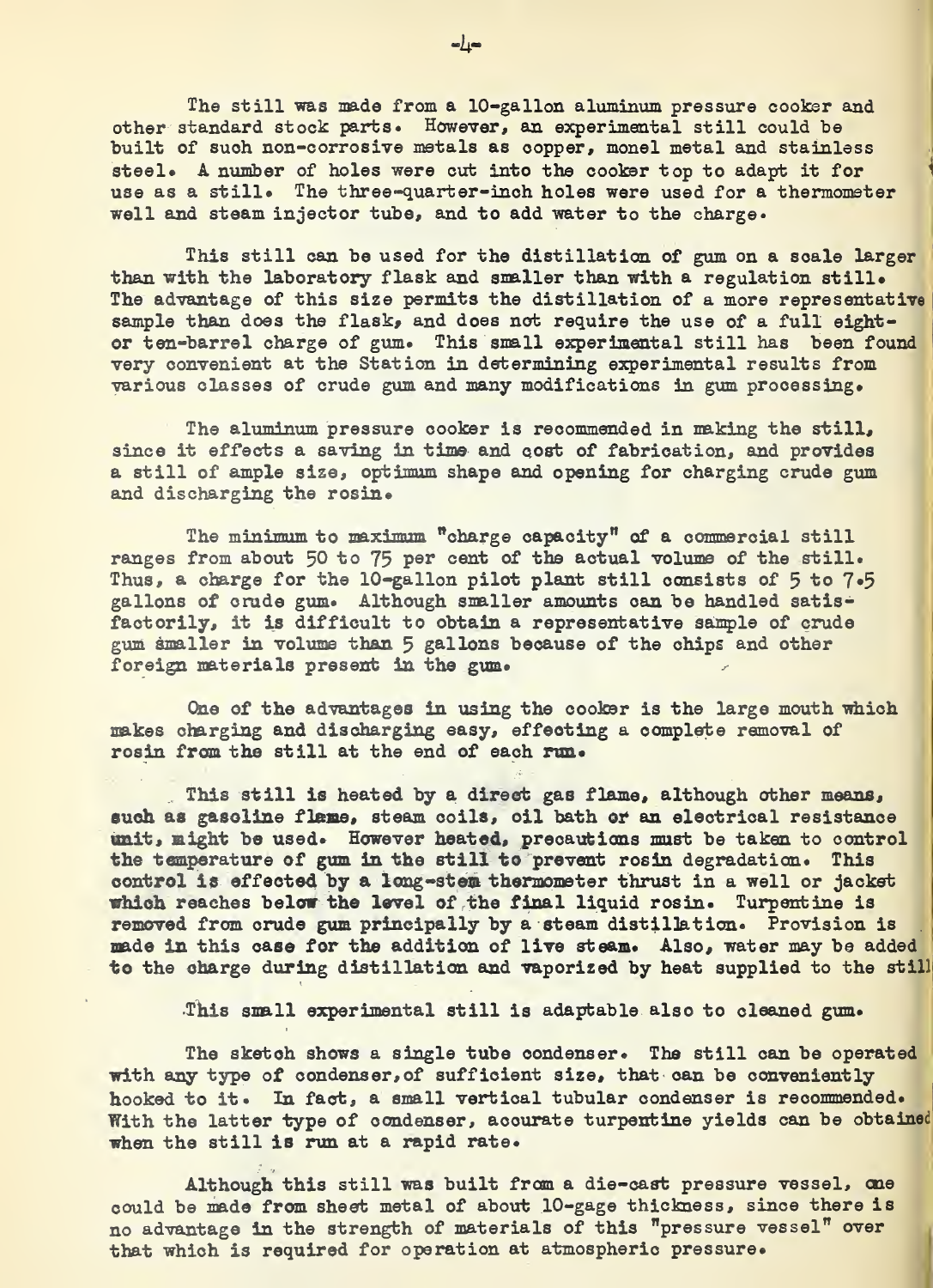The still was made from a 10-gallon aluminum pressure cooker and other standard stock parts. However, an experimental still could be built of such non-corrosive metals as copper, monel metal and stainless steel. A number of holes were cut into the cooker top to adapt it for use as a still. The three-quarter-inch holes were used for a thermometer well and steam injector tube, and to add water to the charge.

This still can be used for the distillation of gum on a scale larger than with the laboratory flask and smaller than with a regulation still. The advantage of this size permits the distillation of a more representative sample than does the flask, and does not require the use of a full eightor ten-barrel charge of gum. This small experimental still has been found very convenient at the Station in determining experimental results from various classes of crude gum and many modifications in gum processing.

The aluminum pressure cooker is recommended in making the still, since it effects a saving in time and cost of fabrication, and provides a still of ample size, optimum shape and opening for charging crude gum and discharging the rosin.

The minimum to maximum "charge capacity" of a commercial still ranges from about 50 to 75 per cent of the actual volume of the still. Thus, a charge for the 10-gallon pilot plant still consists of 5 to 7»5 gallons of crude gum. Although smaller amounts can be handled satisfactorily, it is difficult to obtain a representative sample of crude gum smaller in volume than 5 gallons because of the chips and other foreign materials present in the gum.

One of the advantages in using the cooker is the large mouth which makes charging and discharging easy, effecting a complete removal of rosin from the still at the end of each run.

This still is heated by a direct gas flame, although other means, such as gasoline fleme, steam coils, oil bath or an electrical resistance unit, might be used. However heated, precautions must be taken to control the temperature of gum in the still to prevent rosin degradation. This control is effected by a long-stem thermometer thrust in a well or jacket which reaches below the level of the final liquid rosin. Turpentine is removed from crude gum principally by a steam distillation. Provision is made in this case for the addition of live steam. Also, water may be added to the charge during distillation and vaporized by heat supplied to the still

This small experimental still is adaptable also to cleaned gum.

The sketch shows a single tube condenser. The still can be operated with any type of condenser, of sufficient size, that can be conveniently hooked to it. In fact, a small vertical tubular condenser is recommended. With the latter type of condenser, accurate turpentine yields can be obtained when the still is run at a rapid rate.

Although this still was built from a die-cast pressure vessel, one could be made from sheet metal of about 10-gage thickness, since there is no advantage in the strength of materials of this "pressure vessel" over that which is required for operation at atmospheric pressure.